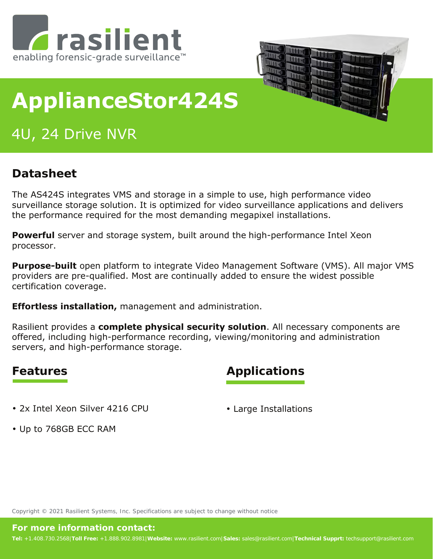



# **ApplianceStor424S**

# 4U, 24 Drive NVR

#### **Datasheet**

The AS424S integrates VMS and storage in a simple to use, high performance video surveillance storage solution. It is optimized for video surveillance applications and delivers the performance required for the most demanding megapixel installations.

**Powerful** server and storage system, built around the high-performance Intel Xeon processor.

**Purpose-built** open platform to integrate Video Management Software (VMS). All major VMS providers are pre-qualified. Most are continually added to ensure the widest possible certification coverage.

**Effortless installation,** management and administration.

Rasilient provides a **complete physical security solution**. All necessary components are offered, including high-performance recording, viewing/monitoring and administration servers, and high-performance storage.

#### **Features Applications**

• 2x Intel Xeon Silver 4216 CPU

• Large Installations

• Up to 768GB ECC RAM

Copyright © 2021 Rasilient Systems, Inc. Specifications are subject to change without notice

#### **For more information contact:**

**Tel:** +1.408.730.2568|**Toll Free:** +1.888.902.8981|**Website:** www.rasilient.com|**Sales:** sales@rasilient.com|**Technical Supprt:** techsupport@rasilient.com